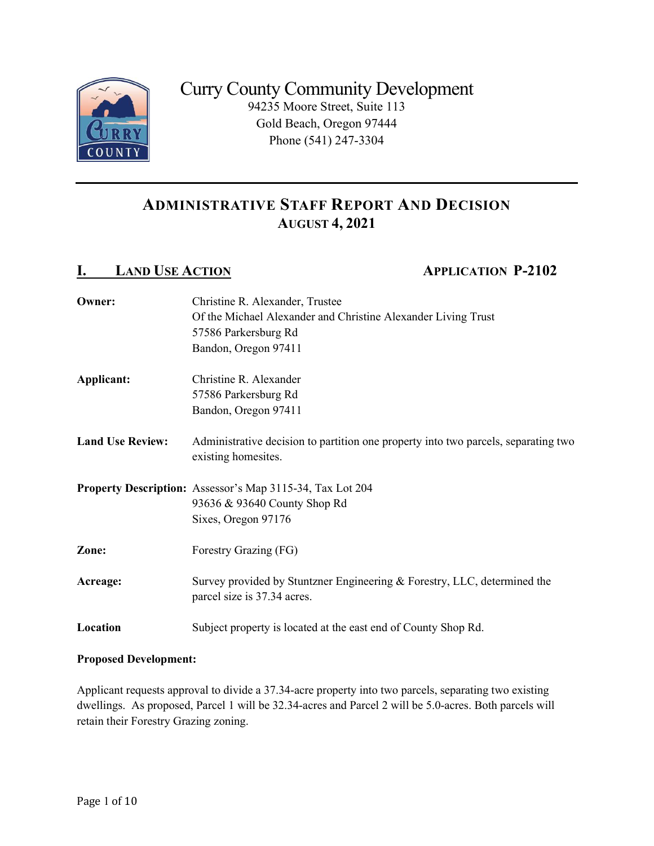

# ADMINISTRATIVE STAFF REPORT AND DECISION AUGUST 4, 2021

# I. LAND USE ACTION APPLICATION P-2102

| Owner:                  | Christine R. Alexander, Trustee                                                                           |  |  |
|-------------------------|-----------------------------------------------------------------------------------------------------------|--|--|
|                         | Of the Michael Alexander and Christine Alexander Living Trust                                             |  |  |
|                         | 57586 Parkersburg Rd                                                                                      |  |  |
|                         | Bandon, Oregon 97411                                                                                      |  |  |
| Applicant:              | Christine R. Alexander                                                                                    |  |  |
|                         | 57586 Parkersburg Rd                                                                                      |  |  |
|                         | Bandon, Oregon 97411                                                                                      |  |  |
| <b>Land Use Review:</b> | Administrative decision to partition one property into two parcels, separating two<br>existing homesites. |  |  |
|                         | <b>Property Description:</b> Assessor's Map 3115-34, Tax Lot 204                                          |  |  |
|                         | 93636 & 93640 County Shop Rd                                                                              |  |  |
|                         | Sixes, Oregon 97176                                                                                       |  |  |
| Zone:                   | Forestry Grazing (FG)                                                                                     |  |  |
| Acreage:                | Survey provided by Stuntzner Engineering & Forestry, LLC, determined the<br>parcel size is 37.34 acres.   |  |  |
| Location                | Subject property is located at the east end of County Shop Rd.                                            |  |  |

### Proposed Development:

Applicant requests approval to divide a 37.34-acre property into two parcels, separating two existing dwellings. As proposed, Parcel 1 will be 32.34-acres and Parcel 2 will be 5.0-acres. Both parcels will retain their Forestry Grazing zoning.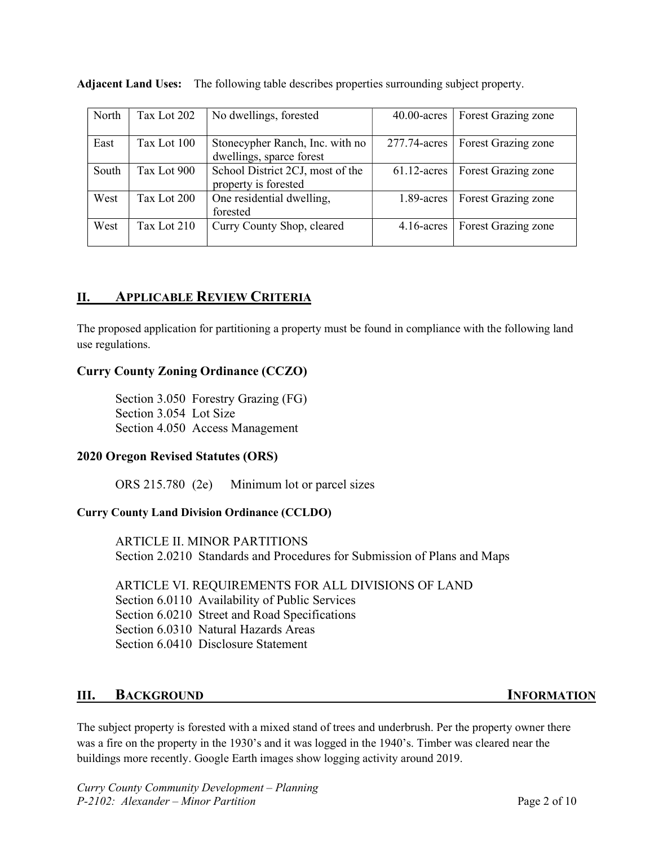| North | Tax Lot 202 | No dwellings, forested                                                      | $40.00$ -acres | Forest Grazing zone |  |
|-------|-------------|-----------------------------------------------------------------------------|----------------|---------------------|--|
| East  | Tax Lot 100 | Stonecypher Ranch, Inc. with no<br>277.74-acres<br>dwellings, sparce forest |                | Forest Grazing zone |  |
| South | Tax Lot 900 | School District 2CJ, most of the<br>property is forested                    | $61.12$ -acres | Forest Grazing zone |  |
| West  | Tax Lot 200 | One residential dwelling,<br>$1.89$ -acres<br>forested                      |                | Forest Grazing zone |  |
| West  | Tax Lot 210 | Curry County Shop, cleared                                                  | $4.16$ -acres  | Forest Grazing zone |  |

Adjacent Land Uses: The following table describes properties surrounding subject property.

# II. APPLICABLE REVIEW CRITERIA

The proposed application for partitioning a property must be found in compliance with the following land use regulations.

# Curry County Zoning Ordinance (CCZO)

Section 3.050 Forestry Grazing (FG) Section 3.054 Lot Size Section 4.050 Access Management

### 2020 Oregon Revised Statutes (ORS)

ORS 215.780 (2e) Minimum lot or parcel sizes

### Curry County Land Division Ordinance (CCLDO)

ARTICLE II. MINOR PARTITIONS Section 2.0210 Standards and Procedures for Submission of Plans and Maps

ARTICLE VI. REQUIREMENTS FOR ALL DIVISIONS OF LAND Section 6.0110 Availability of Public Services Section 6.0210 Street and Road Specifications Section 6.0310 Natural Hazards Areas Section 6.0410 Disclosure Statement

# III. BACKGROUND INFORMATION

The subject property is forested with a mixed stand of trees and underbrush. Per the property owner there was a fire on the property in the 1930's and it was logged in the 1940's. Timber was cleared near the buildings more recently. Google Earth images show logging activity around 2019.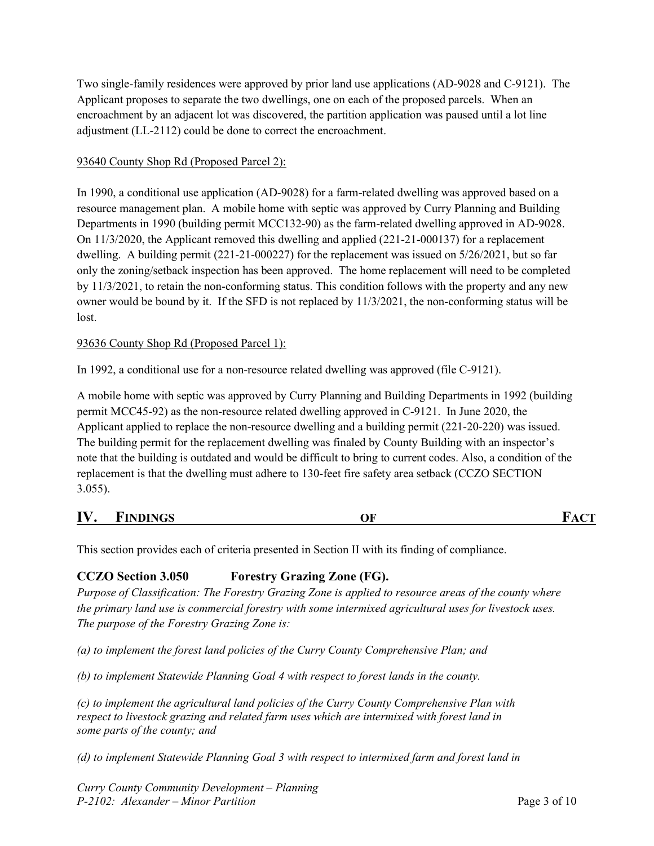Two single-family residences were approved by prior land use applications (AD-9028 and C-9121). The Applicant proposes to separate the two dwellings, one on each of the proposed parcels. When an encroachment by an adjacent lot was discovered, the partition application was paused until a lot line adjustment (LL-2112) could be done to correct the encroachment.

### 93640 County Shop Rd (Proposed Parcel 2):

In 1990, a conditional use application (AD-9028) for a farm-related dwelling was approved based on a resource management plan. A mobile home with septic was approved by Curry Planning and Building Departments in 1990 (building permit MCC132-90) as the farm-related dwelling approved in AD-9028. On 11/3/2020, the Applicant removed this dwelling and applied (221-21-000137) for a replacement dwelling. A building permit (221-21-000227) for the replacement was issued on 5/26/2021, but so far only the zoning/setback inspection has been approved. The home replacement will need to be completed by 11/3/2021, to retain the non-conforming status. This condition follows with the property and any new owner would be bound by it. If the SFD is not replaced by 11/3/2021, the non-conforming status will be lost.

#### 93636 County Shop Rd (Proposed Parcel 1):

In 1992, a conditional use for a non-resource related dwelling was approved (file C-9121).

A mobile home with septic was approved by Curry Planning and Building Departments in 1992 (building permit MCC45-92) as the non-resource related dwelling approved in C-9121. In June 2020, the Applicant applied to replace the non-resource dwelling and a building permit (221-20-220) was issued. The building permit for the replacement dwelling was finaled by County Building with an inspector's note that the building is outdated and would be difficult to bring to current codes. Also, a condition of the replacement is that the dwelling must adhere to 130-feet fire safety area setback (CCZO SECTION 3.055).

| IV | <b>FINDINGS</b> | ~~<br>м | <b>CONTRACTOR</b> |
|----|-----------------|---------|-------------------|
|    |                 |         |                   |

This section provides each of criteria presented in Section II with its finding of compliance.

# CCZO Section 3.050 Forestry Grazing Zone (FG).

Purpose of Classification: The Forestry Grazing Zone is applied to resource areas of the county where the primary land use is commercial forestry with some intermixed agricultural uses for livestock uses. The purpose of the Forestry Grazing Zone is:

(a) to implement the forest land policies of the Curry County Comprehensive Plan; and

(b) to implement Statewide Planning Goal 4 with respect to forest lands in the county.

(c) to implement the agricultural land policies of the Curry County Comprehensive Plan with respect to livestock grazing and related farm uses which are intermixed with forest land in some parts of the county; and

(d) to implement Statewide Planning Goal 3 with respect to intermixed farm and forest land in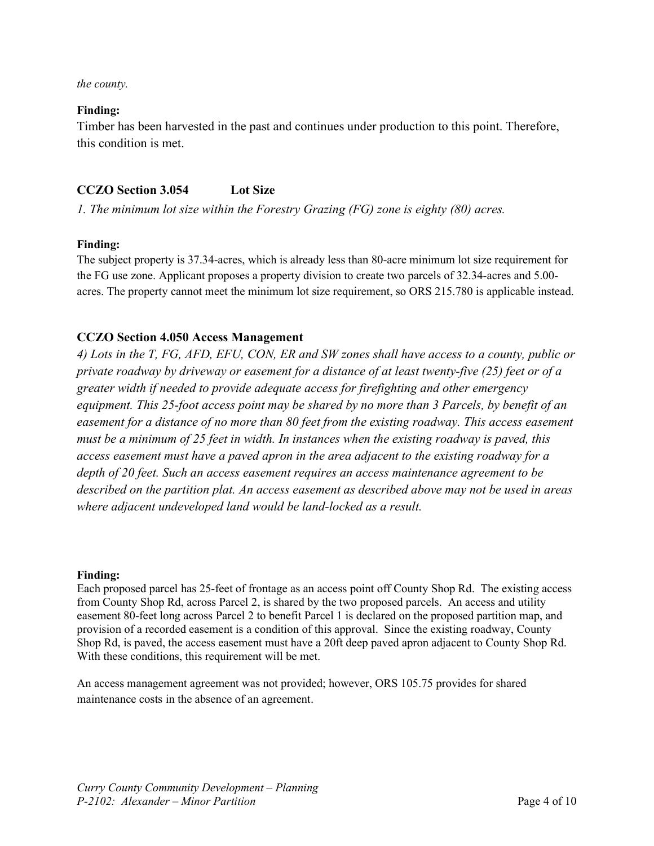the county.

#### Finding:

Timber has been harvested in the past and continues under production to this point. Therefore, this condition is met.

# CCZO Section 3.054 Lot Size

1. The minimum lot size within the Forestry Grazing (FG) zone is eighty (80) acres.

### Finding:

The subject property is 37.34-acres, which is already less than 80-acre minimum lot size requirement for the FG use zone. Applicant proposes a property division to create two parcels of 32.34-acres and 5.00 acres. The property cannot meet the minimum lot size requirement, so ORS 215.780 is applicable instead.

# CCZO Section 4.050 Access Management

4) Lots in the T, FG, AFD, EFU, CON, ER and SW zones shall have access to a county, public or private roadway by driveway or easement for a distance of at least twenty-five (25) feet or of a greater width if needed to provide adequate access for firefighting and other emergency equipment. This 25-foot access point may be shared by no more than 3 Parcels, by benefit of an easement for a distance of no more than 80 feet from the existing roadway. This access easement must be a minimum of 25 feet in width. In instances when the existing roadway is paved, this access easement must have a paved apron in the area adjacent to the existing roadway for a depth of 20 feet. Such an access easement requires an access maintenance agreement to be described on the partition plat. An access easement as described above may not be used in areas where adjacent undeveloped land would be land-locked as a result.

#### Finding:

Each proposed parcel has 25-feet of frontage as an access point off County Shop Rd. The existing access from County Shop Rd, across Parcel 2, is shared by the two proposed parcels. An access and utility easement 80-feet long across Parcel 2 to benefit Parcel 1 is declared on the proposed partition map, and provision of a recorded easement is a condition of this approval. Since the existing roadway, County Shop Rd, is paved, the access easement must have a 20ft deep paved apron adjacent to County Shop Rd. With these conditions, this requirement will be met.

An access management agreement was not provided; however, ORS 105.75 provides for shared maintenance costs in the absence of an agreement.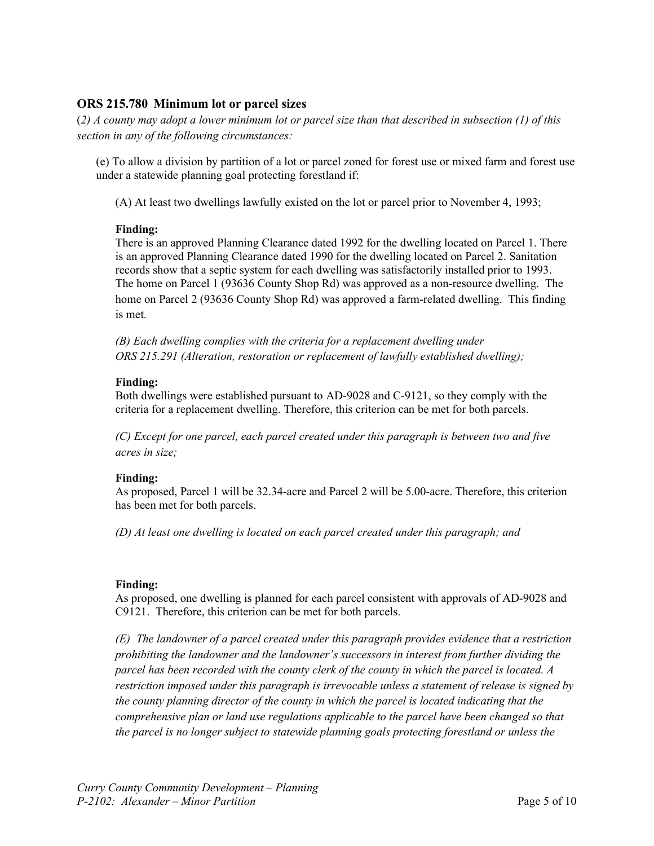# ORS 215.780 Minimum lot or parcel sizes

(2) A county may adopt a lower minimum lot or parcel size than that described in subsection (1) of this section in any of the following circumstances:

(e) To allow a division by partition of a lot or parcel zoned for forest use or mixed farm and forest use under a statewide planning goal protecting forestland if:

(A) At least two dwellings lawfully existed on the lot or parcel prior to November 4, 1993;

### Finding:

There is an approved Planning Clearance dated 1992 for the dwelling located on Parcel 1. There is an approved Planning Clearance dated 1990 for the dwelling located on Parcel 2. Sanitation records show that a septic system for each dwelling was satisfactorily installed prior to 1993. The home on Parcel 1 (93636 County Shop Rd) was approved as a non-resource dwelling. The home on Parcel 2 (93636 County Shop Rd) was approved a farm-related dwelling. This finding is met.

(B) Each dwelling complies with the criteria for a replacement dwelling under ORS 215.291 (Alteration, restoration or replacement of lawfully established dwelling);

#### Finding:

Both dwellings were established pursuant to AD-9028 and C-9121, so they comply with the criteria for a replacement dwelling. Therefore, this criterion can be met for both parcels.

(C) Except for one parcel, each parcel created under this paragraph is between two and five acres in size;

#### Finding:

As proposed, Parcel 1 will be 32.34-acre and Parcel 2 will be 5.00-acre. Therefore, this criterion has been met for both parcels.

(D) At least one dwelling is located on each parcel created under this paragraph; and

#### Finding:

As proposed, one dwelling is planned for each parcel consistent with approvals of AD-9028 and C9121. Therefore, this criterion can be met for both parcels.

(E) The landowner of a parcel created under this paragraph provides evidence that a restriction prohibiting the landowner and the landowner's successors in interest from further dividing the parcel has been recorded with the county clerk of the county in which the parcel is located. A restriction imposed under this paragraph is irrevocable unless a statement of release is signed by the county planning director of the county in which the parcel is located indicating that the comprehensive plan or land use regulations applicable to the parcel have been changed so that the parcel is no longer subject to statewide planning goals protecting forestland or unless the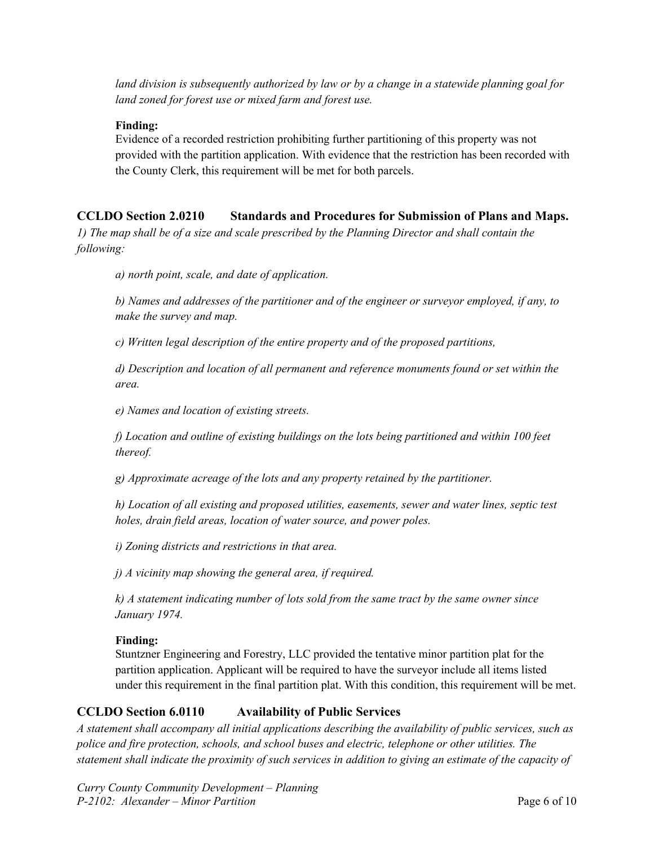land division is subsequently authorized by law or by a change in a statewide planning goal for land zoned for forest use or mixed farm and forest use.

### Finding:

Evidence of a recorded restriction prohibiting further partitioning of this property was not provided with the partition application. With evidence that the restriction has been recorded with the County Clerk, this requirement will be met for both parcels.

# CCLDO Section 2.0210 Standards and Procedures for Submission of Plans and Maps.

1) The map shall be of a size and scale prescribed by the Planning Director and shall contain the following:

a) north point, scale, and date of application.

b) Names and addresses of the partitioner and of the engineer or surveyor employed, if any, to make the survey and map.

c) Written legal description of the entire property and of the proposed partitions,

d) Description and location of all permanent and reference monuments found or set within the area.

e) Names and location of existing streets.

f) Location and outline of existing buildings on the lots being partitioned and within 100 feet thereof.

g) Approximate acreage of the lots and any property retained by the partitioner.

h) Location of all existing and proposed utilities, easements, sewer and water lines, septic test holes, drain field areas, location of water source, and power poles.

i) Zoning districts and restrictions in that area.

j) A vicinity map showing the general area, if required.

k) A statement indicating number of lots sold from the same tract by the same owner since January 1974.

### Finding:

Stuntzner Engineering and Forestry, LLC provided the tentative minor partition plat for the partition application. Applicant will be required to have the surveyor include all items listed under this requirement in the final partition plat. With this condition, this requirement will be met.

# CCLDO Section 6.0110 Availability of Public Services

A statement shall accompany all initial applications describing the availability of public services, such as police and fire protection, schools, and school buses and electric, telephone or other utilities. The statement shall indicate the proximity of such services in addition to giving an estimate of the capacity of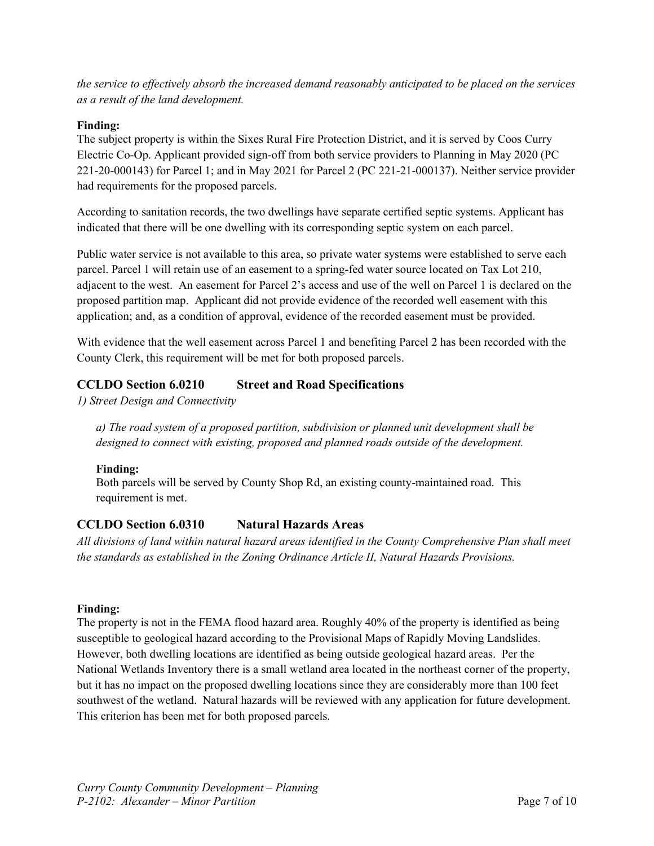the service to effectively absorb the increased demand reasonably anticipated to be placed on the services as a result of the land development.

#### Finding:

The subject property is within the Sixes Rural Fire Protection District, and it is served by Coos Curry Electric Co-Op. Applicant provided sign-off from both service providers to Planning in May 2020 (PC 221-20-000143) for Parcel 1; and in May 2021 for Parcel 2 (PC 221-21-000137). Neither service provider had requirements for the proposed parcels.

According to sanitation records, the two dwellings have separate certified septic systems. Applicant has indicated that there will be one dwelling with its corresponding septic system on each parcel.

Public water service is not available to this area, so private water systems were established to serve each parcel. Parcel 1 will retain use of an easement to a spring-fed water source located on Tax Lot 210, adjacent to the west. An easement for Parcel 2's access and use of the well on Parcel 1 is declared on the proposed partition map. Applicant did not provide evidence of the recorded well easement with this application; and, as a condition of approval, evidence of the recorded easement must be provided.

With evidence that the well easement across Parcel 1 and benefiting Parcel 2 has been recorded with the County Clerk, this requirement will be met for both proposed parcels.

# CCLDO Section 6.0210 Street and Road Specifications

1) Street Design and Connectivity

a) The road system of a proposed partition, subdivision or planned unit development shall be designed to connect with existing, proposed and planned roads outside of the development.

### Finding:

Both parcels will be served by County Shop Rd, an existing county-maintained road. This requirement is met.

### CCLDO Section 6.0310 Natural Hazards Areas

All divisions of land within natural hazard areas identified in the County Comprehensive Plan shall meet the standards as established in the Zoning Ordinance Article II, Natural Hazards Provisions.

#### Finding:

The property is not in the FEMA flood hazard area. Roughly 40% of the property is identified as being susceptible to geological hazard according to the Provisional Maps of Rapidly Moving Landslides. However, both dwelling locations are identified as being outside geological hazard areas. Per the National Wetlands Inventory there is a small wetland area located in the northeast corner of the property, but it has no impact on the proposed dwelling locations since they are considerably more than 100 feet southwest of the wetland. Natural hazards will be reviewed with any application for future development. This criterion has been met for both proposed parcels.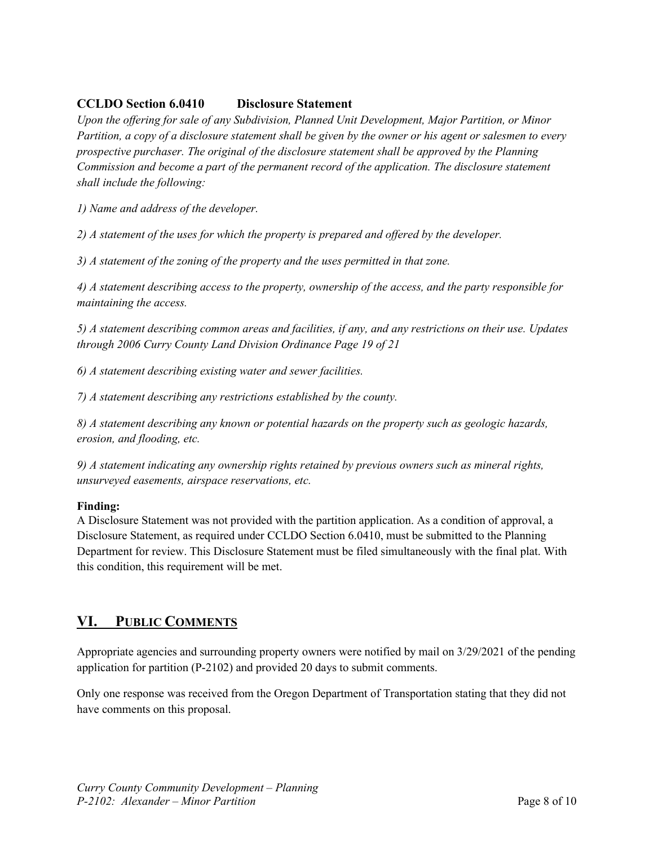# CCLDO Section 6.0410 Disclosure Statement

Upon the offering for sale of any Subdivision, Planned Unit Development, Major Partition, or Minor Partition, a copy of a disclosure statement shall be given by the owner or his agent or salesmen to every prospective purchaser. The original of the disclosure statement shall be approved by the Planning Commission and become a part of the permanent record of the application. The disclosure statement shall include the following:

1) Name and address of the developer.

2) A statement of the uses for which the property is prepared and offered by the developer.

3) A statement of the zoning of the property and the uses permitted in that zone.

4) A statement describing access to the property, ownership of the access, and the party responsible for maintaining the access.

5) A statement describing common areas and facilities, if any, and any restrictions on their use. Updates through 2006 Curry County Land Division Ordinance Page 19 of 21

6) A statement describing existing water and sewer facilities.

7) A statement describing any restrictions established by the county.

8) A statement describing any known or potential hazards on the property such as geologic hazards, erosion, and flooding, etc.

9) A statement indicating any ownership rights retained by previous owners such as mineral rights, unsurveyed easements, airspace reservations, etc.

### Finding:

A Disclosure Statement was not provided with the partition application. As a condition of approval, a Disclosure Statement, as required under CCLDO Section 6.0410, must be submitted to the Planning Department for review. This Disclosure Statement must be filed simultaneously with the final plat. With this condition, this requirement will be met.

# VI. PUBLIC COMMENTS

Appropriate agencies and surrounding property owners were notified by mail on 3/29/2021 of the pending application for partition (P-2102) and provided 20 days to submit comments.

Only one response was received from the Oregon Department of Transportation stating that they did not have comments on this proposal.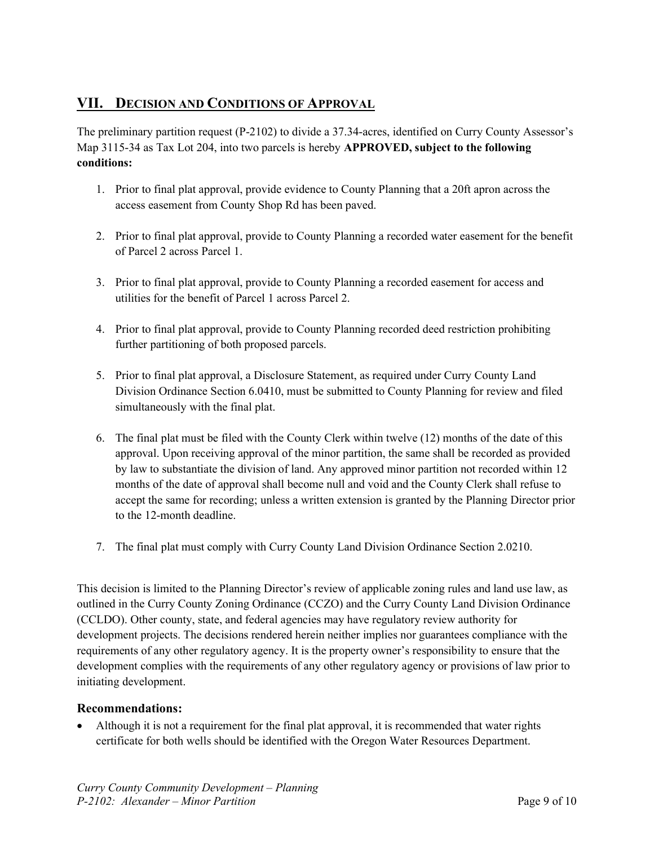# VII. DECISION AND CONDITIONS OF APPROVAL

The preliminary partition request (P-2102) to divide a 37.34-acres, identified on Curry County Assessor's Map 3115-34 as Tax Lot 204, into two parcels is hereby APPROVED, subject to the following conditions:

- 1. Prior to final plat approval, provide evidence to County Planning that a 20ft apron across the access easement from County Shop Rd has been paved.
- 2. Prior to final plat approval, provide to County Planning a recorded water easement for the benefit of Parcel 2 across Parcel 1.
- 3. Prior to final plat approval, provide to County Planning a recorded easement for access and utilities for the benefit of Parcel 1 across Parcel 2.
- 4. Prior to final plat approval, provide to County Planning recorded deed restriction prohibiting further partitioning of both proposed parcels.
- 5. Prior to final plat approval, a Disclosure Statement, as required under Curry County Land Division Ordinance Section 6.0410, must be submitted to County Planning for review and filed simultaneously with the final plat.
- 6. The final plat must be filed with the County Clerk within twelve (12) months of the date of this approval. Upon receiving approval of the minor partition, the same shall be recorded as provided by law to substantiate the division of land. Any approved minor partition not recorded within 12 months of the date of approval shall become null and void and the County Clerk shall refuse to accept the same for recording; unless a written extension is granted by the Planning Director prior to the 12-month deadline.
- 7. The final plat must comply with Curry County Land Division Ordinance Section 2.0210.

This decision is limited to the Planning Director's review of applicable zoning rules and land use law, as outlined in the Curry County Zoning Ordinance (CCZO) and the Curry County Land Division Ordinance (CCLDO). Other county, state, and federal agencies may have regulatory review authority for development projects. The decisions rendered herein neither implies nor guarantees compliance with the requirements of any other regulatory agency. It is the property owner's responsibility to ensure that the development complies with the requirements of any other regulatory agency or provisions of law prior to initiating development.

### Recommendations:

 Although it is not a requirement for the final plat approval, it is recommended that water rights certificate for both wells should be identified with the Oregon Water Resources Department.